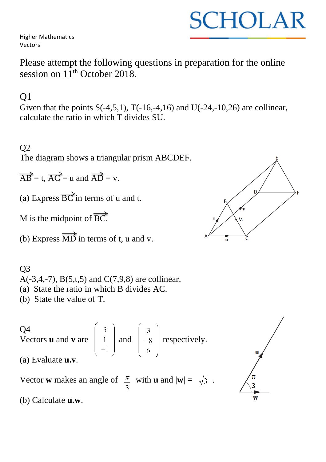Higher Mathematics Vectors

Please attempt the following questions in preparation for the online session on  $11<sup>th</sup>$  October 2018.

## Q1

Given that the points  $S(-4,5,1)$ ,  $T(-16,-4,16)$  and  $U(-24,-10,26)$  are collinear, calculate the ratio in which T divides SU.

#### Q2

The diagram shows a triangular prism ABCDEF.

 $\overrightarrow{AB}$  = t,  $\overrightarrow{AC}$  = u and  $\overrightarrow{AD}$  = v.

(a) Express  $\overrightarrow{BC}$  in terms of u and t.

M is the midpoint of  $\overrightarrow{BC}$ .

(b) Express  $\overrightarrow{MD}$  in terms of t, u and v.

## Q3 A(-3,4,-7), B(5,t,5) and C(7,9,8) are collinear. (a) State the ratio in which B divides AC.

(b) State the value of T.

Q4  
Vectors **u** and **v** are 
$$
\begin{pmatrix} 5 \\ 1 \\ -1 \end{pmatrix}
$$
 and  $\begin{pmatrix} 3 \\ -8 \\ 6 \end{pmatrix}$  respectively.  
(a) Evaluate **u.v**.  
Vector **w** makes an angle of  $\frac{\pi}{3}$  with **u** and  $|\mathbf{w}| = \sqrt{3}$ .  
(b) Calculate **u.w**.

D